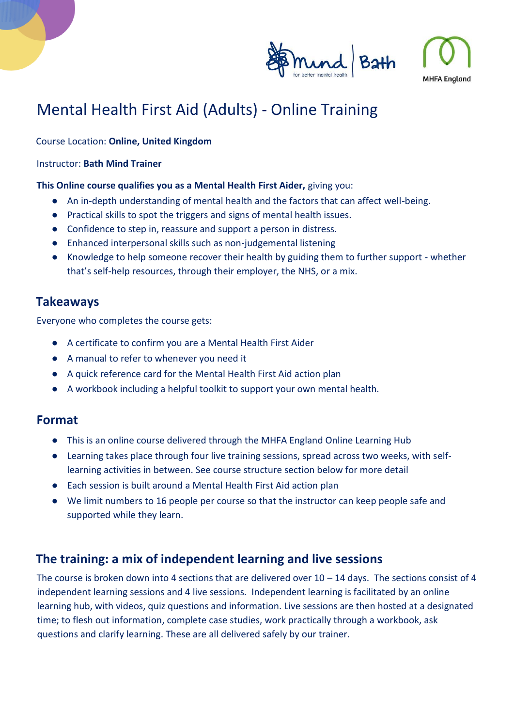

# Mental Health First Aid (Adults) - Online Training

#### Course Location: **Online, United Kingdom**

#### Instructor: **Bath Mind Trainer**

#### **This Online course qualifies you as a Mental Health First Aider,** giving you:

- An in-depth understanding of mental health and the factors that can affect well-being.
- Practical skills to spot the triggers and signs of mental health issues.
- Confidence to step in, reassure and support a person in distress.
- Enhanced interpersonal skills such as non-judgemental listening
- Knowledge to help someone recover their health by guiding them to further support whether that's self-help resources, through their employer, the NHS, or a mix.

## **Takeaways**

Everyone who completes the course gets:

- A certificate to confirm you are a Mental Health First Aider
- A manual to refer to whenever you need it
- A quick reference card for the Mental Health First Aid action plan
- A workbook including a helpful toolkit to support your own mental health.

### **Format**

- This is an online course delivered through the MHFA England Online Learning Hub
- Learning takes place through four live training sessions, spread across two weeks, with selflearning activities in between. See course structure section below for more detail
- Each session is built around a Mental Health First Aid action plan
- We limit numbers to 16 people per course so that the instructor can keep people safe and supported while they learn.

## **The training: a mix of independent learning and live sessions**

The course is broken down into 4 sections that are delivered over  $10 - 14$  days. The sections consist of 4 independent learning sessions and 4 live sessions. Independent learning is facilitated by an online learning hub, with videos, quiz questions and information. Live sessions are then hosted at a designated time; to flesh out information, complete case studies, work practically through a workbook, ask questions and clarify learning. These are all delivered safely by our trainer.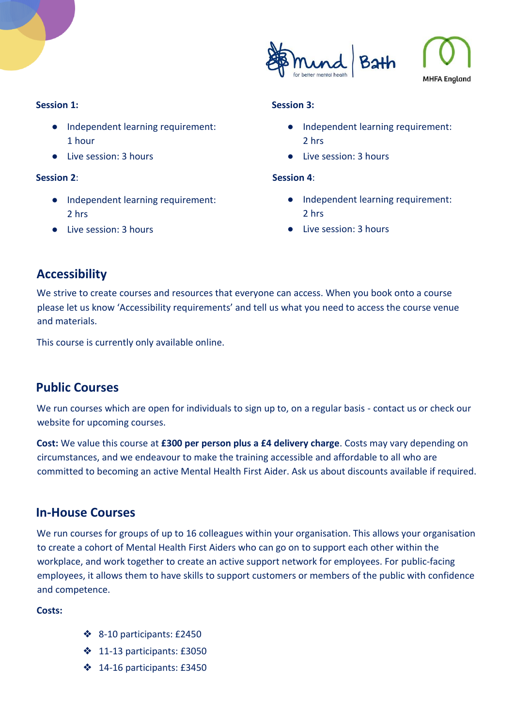

#### **Session 1:**

- Independent learning requirement: 1 hour
- Live session: 3 hours

#### **Session 2**:

- Independent learning requirement: 2 hrs
- Live session: 3 hours

#### **Session 3:**

- Independent learning requirement: 2 hrs
- Live session: 3 hours

#### **Session 4**:

- Independent learning requirement: 2 hrs
- Live session: 3 hours

## **Accessibility**

We strive to create courses and resources that everyone can access. When you book onto a course please let us know 'Accessibility requirements' and tell us what you need to access the course venue and materials.

This course is currently only available online.

## **Public Courses**

We run courses which are open for individuals to sign up to, on a regular basis - contact us or check our website for upcoming courses.

**Cost:** We value this course at **£300 per person plus a £4 delivery charge**. Costs may vary depending on circumstances, and we endeavour to make the training accessible and affordable to all who are committed to becoming an active Mental Health First Aider. Ask us about discounts available if required.

## **In-House Courses**

We run courses for groups of up to 16 colleagues within your organisation. This allows your organisation to create a cohort of Mental Health First Aiders who can go on to support each other within the workplace, and work together to create an active support network for employees. For public-facing employees, it allows them to have skills to support customers or members of the public with confidence and competence.

#### **Costs:**

- ❖ 8-10 participants: £2450
- ❖ 11-13 participants: £3050
- ❖ 14-16 participants: £3450